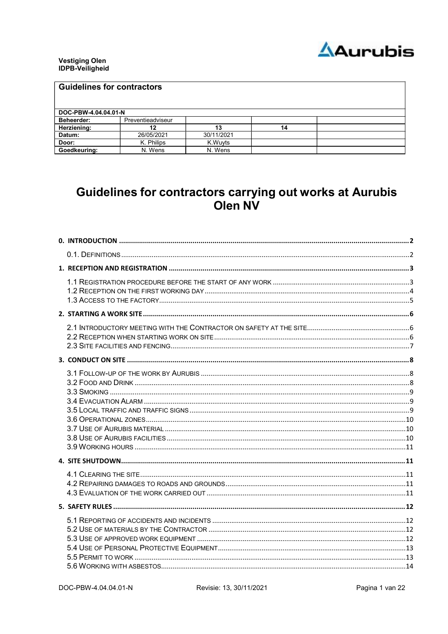

# **Vestiging Olen<br>IDPB-Veiligheid**

| <b>Guidelines for contractors</b> |                   |            |    |  |
|-----------------------------------|-------------------|------------|----|--|
| DOC-PBW-4.04.04.01-N              |                   |            |    |  |
| <b>Beheerder:</b>                 | Preventieadviseur |            |    |  |
| Herziening:                       | 12                | 13         | 14 |  |
| Datum:                            | 26/05/2021        | 30/11/2021 |    |  |
| Door:                             | K. Philips        | K.Wuyts    |    |  |
| Goedkeuring:                      | N. Wens           | N. Wens    |    |  |

# Guidelines for contractors carrying out works at Aurubis Olen NV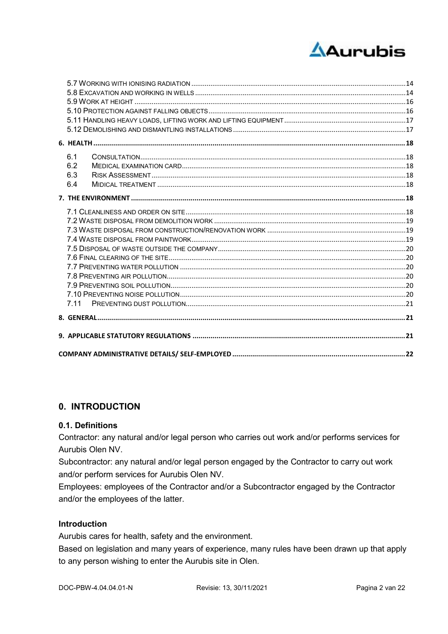

| 6.1 |  |
|-----|--|
| 6.2 |  |
| 6.3 |  |
| 6.4 |  |
|     |  |
|     |  |
|     |  |
|     |  |
|     |  |
|     |  |
|     |  |
|     |  |
|     |  |
|     |  |
|     |  |
|     |  |
|     |  |
|     |  |
|     |  |
|     |  |

# 0. INTRODUCTION

# 0.1. Definitions

Contractor: any natural and/or legal person who carries out work and/or performs services for Aurubis Olen NV.

Subcontractor: any natural and/or legal person engaged by the Contractor to carry out work and/or perform services for Aurubis Olen NV.

Employees: employees of the Contractor and/or a Subcontractor engaged by the Contractor and/or the employees of the latter.

# **Introduction**

Aurubis cares for health, safety and the environment.

Based on legislation and many years of experience, many rules have been drawn up that apply to any person wishing to enter the Aurubis site in Olen.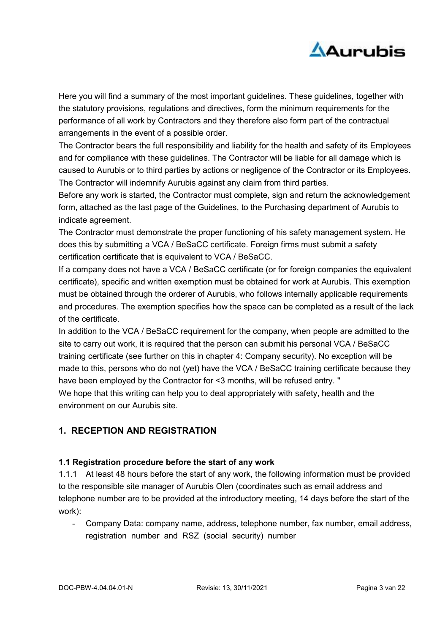

Here you will find a summary of the most important guidelines. These guidelines, together with the statutory provisions, regulations and directives, form the minimum requirements for the performance of all work by Contractors and they therefore also form part of the contractual arrangements in the event of a possible order.

The Contractor bears the full responsibility and liability for the health and safety of its Employees and for compliance with these guidelines. The Contractor will be liable for all damage which is caused to Aurubis or to third parties by actions or negligence of the Contractor or its Employees. The Contractor will indemnify Aurubis against any claim from third parties.

Before any work is started, the Contractor must complete, sign and return the acknowledgement form, attached as the last page of the Guidelines, to the Purchasing department of Aurubis to indicate agreement.

The Contractor must demonstrate the proper functioning of his safety management system. He does this by submitting a VCA / BeSaCC certificate. Foreign firms must submit a safety certification certificate that is equivalent to VCA / BeSaCC.

If a company does not have a VCA / BeSaCC certificate (or for foreign companies the equivalent certificate), specific and written exemption must be obtained for work at Aurubis. This exemption must be obtained through the orderer of Aurubis, who follows internally applicable requirements and procedures. The exemption specifies how the space can be completed as a result of the lack of the certificate.

In addition to the VCA / BeSaCC requirement for the company, when people are admitted to the site to carry out work, it is required that the person can submit his personal VCA / BeSaCC training certificate (see further on this in chapter 4: Company security). No exception will be made to this, persons who do not (yet) have the VCA / BeSaCC training certificate because they have been employed by the Contractor for <3 months, will be refused entry. " We hope that this writing can help you to deal appropriately with safety, health and the environment on our Aurubis site.

# 1. RECEPTION AND REGISTRATION

# 1.1 Registration procedure before the start of any work

1.1.1 At least 48 hours before the start of any work, the following information must be provided to the responsible site manager of Aurubis Olen (coordinates such as email address and telephone number are to be provided at the introductory meeting, 14 days before the start of the work):

- Company Data: company name, address, telephone number, fax number, email address, registration number and RSZ (social security) number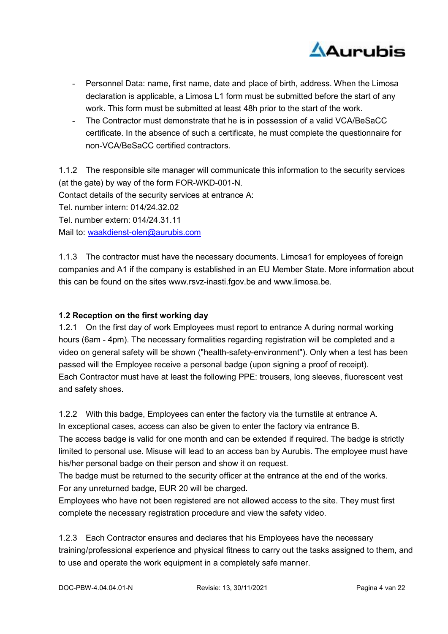

- Personnel Data: name, first name, date and place of birth, address. When the Limosa declaration is applicable, a Limosa L1 form must be submitted before the start of any work. This form must be submitted at least 48h prior to the start of the work.
- The Contractor must demonstrate that he is in possession of a valid VCA/BeSaCC certificate. In the absence of such a certificate, he must complete the questionnaire for non-VCA/BeSaCC certified contractors.

1.1.2 The responsible site manager will communicate this information to the security services (at the gate) by way of the form FOR-WKD-001-N. Contact details of the security services at entrance A: Tel. number intern: 014/24.32.02 Tel. number extern: 014/24.31.11 Mail to: waakdienst-olen@aurubis.com

1.1.3 The contractor must have the necessary documents. Limosa1 for employees of foreign companies and A1 if the company is established in an EU Member State. More information about this can be found on the sites www.rsvz-inasti.fgov.be and www.limosa.be.

# 1.2 Reception on the first working day

1.2.1 On the first day of work Employees must report to entrance A during normal working hours (6am - 4pm). The necessary formalities regarding registration will be completed and a video on general safety will be shown ("health-safety-environment"). Only when a test has been passed will the Employee receive a personal badge (upon signing a proof of receipt). Each Contractor must have at least the following PPE: trousers, long sleeves, fluorescent vest and safety shoes.

1.2.2 With this badge, Employees can enter the factory via the turnstile at entrance A. In exceptional cases, access can also be given to enter the factory via entrance B.

The access badge is valid for one month and can be extended if required. The badge is strictly limited to personal use. Misuse will lead to an access ban by Aurubis. The employee must have his/her personal badge on their person and show it on request.

The badge must be returned to the security officer at the entrance at the end of the works. For any unreturned badge, EUR 20 will be charged.

Employees who have not been registered are not allowed access to the site. They must first complete the necessary registration procedure and view the safety video.

1.2.3 Each Contractor ensures and declares that his Employees have the necessary training/professional experience and physical fitness to carry out the tasks assigned to them, and to use and operate the work equipment in a completely safe manner.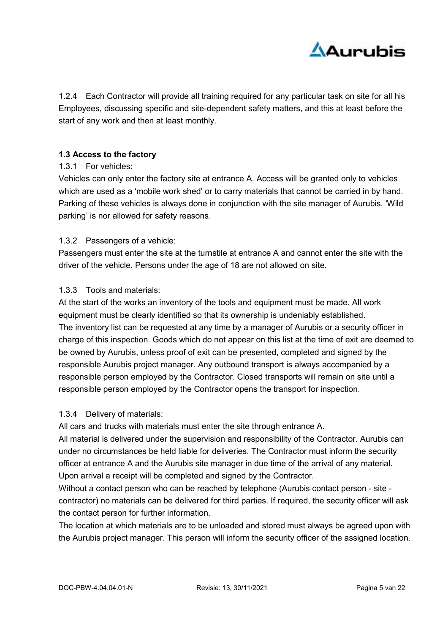

1.2.4 Each Contractor will provide all training required for any particular task on site for all his Employees, discussing specific and site-dependent safety matters, and this at least before the start of any work and then at least monthly.

# 1.3 Access to the factory

# 1.3.1 For vehicles:

Vehicles can only enter the factory site at entrance A. Access will be granted only to vehicles which are used as a 'mobile work shed' or to carry materials that cannot be carried in by hand. Parking of these vehicles is always done in conjunction with the site manager of Aurubis. 'Wild parking' is nor allowed for safety reasons.

#### 1.3.2 Passengers of a vehicle:

Passengers must enter the site at the turnstile at entrance A and cannot enter the site with the driver of the vehicle. Persons under the age of 18 are not allowed on site.

#### 1.3.3 Tools and materials:

At the start of the works an inventory of the tools and equipment must be made. All work equipment must be clearly identified so that its ownership is undeniably established. The inventory list can be requested at any time by a manager of Aurubis or a security officer in charge of this inspection. Goods which do not appear on this list at the time of exit are deemed to be owned by Aurubis, unless proof of exit can be presented, completed and signed by the responsible Aurubis project manager. Any outbound transport is always accompanied by a responsible person employed by the Contractor. Closed transports will remain on site until a responsible person employed by the Contractor opens the transport for inspection.

# 1.3.4 Delivery of materials:

All cars and trucks with materials must enter the site through entrance A.

All material is delivered under the supervision and responsibility of the Contractor. Aurubis can under no circumstances be held liable for deliveries. The Contractor must inform the security officer at entrance A and the Aurubis site manager in due time of the arrival of any material. Upon arrival a receipt will be completed and signed by the Contractor.

Without a contact person who can be reached by telephone (Aurubis contact person - site contractor) no materials can be delivered for third parties. If required, the security officer will ask the contact person for further information.

The location at which materials are to be unloaded and stored must always be agreed upon with the Aurubis project manager. This person will inform the security officer of the assigned location.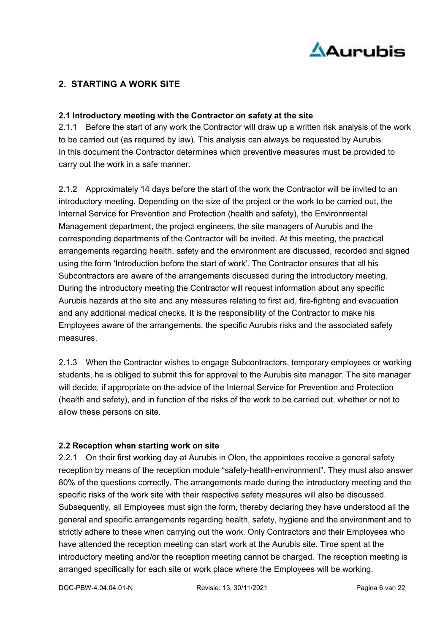

# 2. STARTING A WORK SITE

#### 2.1 Introductory meeting with the Contractor on safety at the site

2.1.1 Before the start of any work the Contractor will draw up a written risk analysis of the work to be carried out (as required by law). This analysis can always be requested by Aurubis. In this document the Contractor determines which preventive measures must be provided to carry out the work in a safe manner.

2.1.2 Approximately 14 days before the start of the work the Contractor will be invited to an introductory meeting. Depending on the size of the project or the work to be carried out, the Internal Service for Prevention and Protection (health and safety), the Environmental Management department, the project engineers, the site managers of Aurubis and the corresponding departments of the Contractor will be invited. At this meeting, the practical arrangements regarding health, safety and the environment are discussed, recorded and signed using the form 'Introduction before the start of work'. The Contractor ensures that all his Subcontractors are aware of the arrangements discussed during the introductory meeting. During the introductory meeting the Contractor will request information about any specific Aurubis hazards at the site and any measures relating to first aid, fire-fighting and evacuation and any additional medical checks. It is the responsibility of the Contractor to make his Employees aware of the arrangements, the specific Aurubis risks and the associated safety measures.

2.1.3 When the Contractor wishes to engage Subcontractors, temporary employees or working students, he is obliged to submit this for approval to the Aurubis site manager. The site manager will decide, if appropriate on the advice of the Internal Service for Prevention and Protection (health and safety), and in function of the risks of the work to be carried out, whether or not to allow these persons on site.

# 2.2 Reception when starting work on site

2.2.1 On their first working day at Aurubis in Olen, the appointees receive a general safety reception by means of the reception module "safety-health-environment". They must also answer 80% of the questions correctly. The arrangements made during the introductory meeting and the specific risks of the work site with their respective safety measures will also be discussed. Subsequently, all Employees must sign the form, thereby declaring they have understood all the general and specific arrangements regarding health, safety, hygiene and the environment and to strictly adhere to these when carrying out the work. Only Contractors and their Employees who have attended the reception meeting can start work at the Aurubis site. Time spent at the introductory meeting and/or the reception meeting cannot be charged. The reception meeting is arranged specifically for each site or work place where the Employees will be working.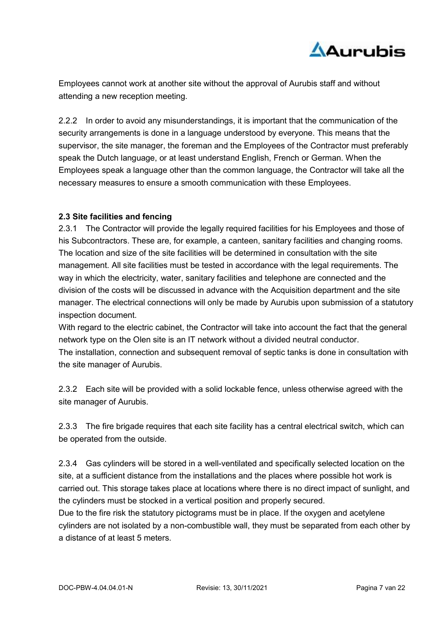

Employees cannot work at another site without the approval of Aurubis staff and without attending a new reception meeting.

2.2.2 In order to avoid any misunderstandings, it is important that the communication of the security arrangements is done in a language understood by everyone. This means that the supervisor, the site manager, the foreman and the Employees of the Contractor must preferably speak the Dutch language, or at least understand English, French or German. When the Employees speak a language other than the common language, the Contractor will take all the necessary measures to ensure a smooth communication with these Employees.

# 2.3 Site facilities and fencing

2.3.1 The Contractor will provide the legally required facilities for his Employees and those of his Subcontractors. These are, for example, a canteen, sanitary facilities and changing rooms. The location and size of the site facilities will be determined in consultation with the site management. All site facilities must be tested in accordance with the legal requirements. The way in which the electricity, water, sanitary facilities and telephone are connected and the division of the costs will be discussed in advance with the Acquisition department and the site manager. The electrical connections will only be made by Aurubis upon submission of a statutory inspection document.

With regard to the electric cabinet, the Contractor will take into account the fact that the general network type on the Olen site is an IT network without a divided neutral conductor.

The installation, connection and subsequent removal of septic tanks is done in consultation with the site manager of Aurubis.

2.3.2 Each site will be provided with a solid lockable fence, unless otherwise agreed with the site manager of Aurubis.

2.3.3 The fire brigade requires that each site facility has a central electrical switch, which can be operated from the outside.

2.3.4 Gas cylinders will be stored in a well-ventilated and specifically selected location on the site, at a sufficient distance from the installations and the places where possible hot work is carried out. This storage takes place at locations where there is no direct impact of sunlight, and the cylinders must be stocked in a vertical position and properly secured.

Due to the fire risk the statutory pictograms must be in place. If the oxygen and acetylene cylinders are not isolated by a non-combustible wall, they must be separated from each other by a distance of at least 5 meters.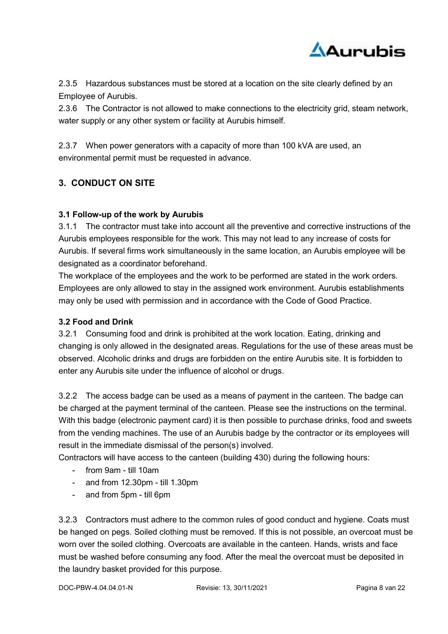

2.3.5 Hazardous substances must be stored at a location on the site clearly defined by an Employee of Aurubis.

2.3.6 The Contractor is not allowed to make connections to the electricity grid, steam network, water supply or any other system or facility at Aurubis himself.

2.3.7 When power generators with a capacity of more than 100 kVA are used, an environmental permit must be requested in advance.

# 3. CONDUCT ON SITE

# 3.1 Follow-up of the work by Aurubis

3.1.1 The contractor must take into account all the preventive and corrective instructions of the Aurubis employees responsible for the work. This may not lead to any increase of costs for Aurubis. If several firms work simultaneously in the same location, an Aurubis employee will be designated as a coordinator beforehand.

The workplace of the employees and the work to be performed are stated in the work orders. Employees are only allowed to stay in the assigned work environment. Aurubis establishments may only be used with permission and in accordance with the Code of Good Practice.

# 3.2 Food and Drink

3.2.1 Consuming food and drink is prohibited at the work location. Eating, drinking and changing is only allowed in the designated areas. Regulations for the use of these areas must be observed. Alcoholic drinks and drugs are forbidden on the entire Aurubis site. It is forbidden to enter any Aurubis site under the influence of alcohol or drugs.

3.2.2 The access badge can be used as a means of payment in the canteen. The badge can be charged at the payment terminal of the canteen. Please see the instructions on the terminal. With this badge (electronic payment card) it is then possible to purchase drinks, food and sweets from the vending machines. The use of an Aurubis badge by the contractor or its employees will result in the immediate dismissal of the person(s) involved.

Contractors will have access to the canteen (building 430) during the following hours:

- from 9am till 10am
- and from 12.30pm till 1.30pm
- and from 5pm till 6pm

3.2.3 Contractors must adhere to the common rules of good conduct and hygiene. Coats must be hanged on pegs. Soiled clothing must be removed. If this is not possible, an overcoat must be worn over the soiled clothing. Overcoats are available in the canteen. Hands, wrists and face must be washed before consuming any food. After the meal the overcoat must be deposited in the laundry basket provided for this purpose.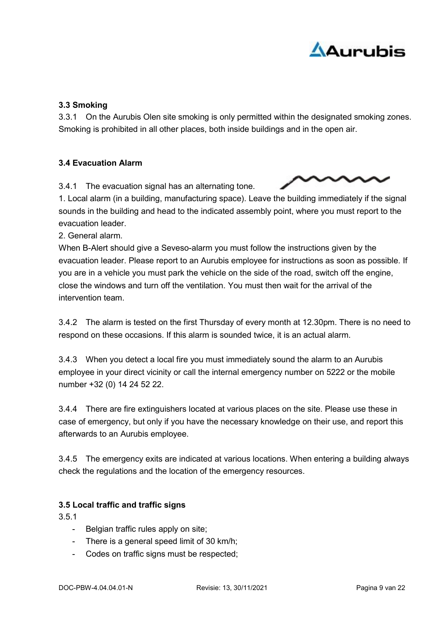

# 3.3 Smoking

3.3.1 On the Aurubis Olen site smoking is only permitted within the designated smoking zones. Smoking is prohibited in all other places, both inside buildings and in the open air.

# 3.4 Evacuation Alarm

3.4.1 The evacuation signal has an alternating tone.

1. Local alarm (in a building, manufacturing space). Leave the building immediately if the signal sounds in the building and head to the indicated assembly point, where you must report to the

evacuation leader. 2. General alarm.

When B-Alert should give a Seveso-alarm you must follow the instructions given by the evacuation leader. Please report to an Aurubis employee for instructions as soon as possible. If you are in a vehicle you must park the vehicle on the side of the road, switch off the engine, close the windows and turn off the ventilation. You must then wait for the arrival of the intervention team.

3.4.2 The alarm is tested on the first Thursday of every month at 12.30pm. There is no need to respond on these occasions. If this alarm is sounded twice, it is an actual alarm.

3.4.3 When you detect a local fire you must immediately sound the alarm to an Aurubis employee in your direct vicinity or call the internal emergency number on 5222 or the mobile number +32 (0) 14 24 52 22.

3.4.4 There are fire extinguishers located at various places on the site. Please use these in case of emergency, but only if you have the necessary knowledge on their use, and report this afterwards to an Aurubis employee.

3.4.5 The emergency exits are indicated at various locations. When entering a building always check the regulations and the location of the emergency resources.

# 3.5 Local traffic and traffic signs

3.5.1

- Belgian traffic rules apply on site;
- There is a general speed limit of 30 km/h;
- Codes on traffic signs must be respected;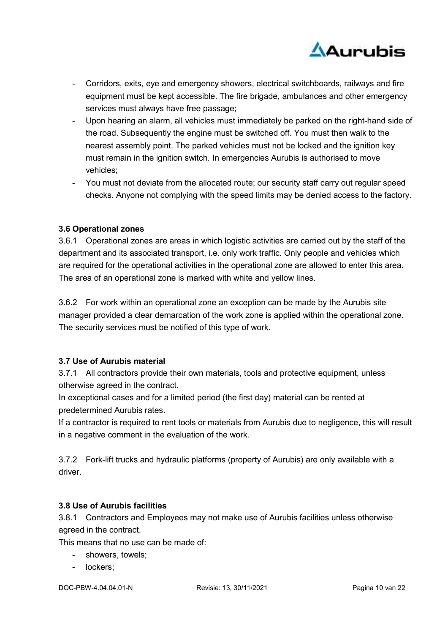

- Corridors, exits, eye and emergency showers, electrical switchboards, railways and fire equipment must be kept accessible. The fire brigade, ambulances and other emergency services must always have free passage;
- Upon hearing an alarm, all vehicles must immediately be parked on the right-hand side of the road. Subsequently the engine must be switched off. You must then walk to the nearest assembly point. The parked vehicles must not be locked and the ignition key must remain in the ignition switch. In emergencies Aurubis is authorised to move vehicles;
- You must not deviate from the allocated route; our security staff carry out regular speed checks. Anyone not complying with the speed limits may be denied access to the factory.

# 3.6 Operational zones

3.6.1 Operational zones are areas in which logistic activities are carried out by the staff of the department and its associated transport, i.e. only work traffic. Only people and vehicles which are required for the operational activities in the operational zone are allowed to enter this area. The area of an operational zone is marked with white and yellow lines.

3.6.2 For work within an operational zone an exception can be made by the Aurubis site manager provided a clear demarcation of the work zone is applied within the operational zone. The security services must be notified of this type of work.

# 3.7 Use of Aurubis material

3.7.1 All contractors provide their own materials, tools and protective equipment, unless otherwise agreed in the contract.

In exceptional cases and for a limited period (the first day) material can be rented at predetermined Aurubis rates.

If a contractor is required to rent tools or materials from Aurubis due to negligence, this will result in a negative comment in the evaluation of the work.

3.7.2 Fork-lift trucks and hydraulic platforms (property of Aurubis) are only available with a driver.

# 3.8 Use of Aurubis facilities

3.8.1 Contractors and Employees may not make use of Aurubis facilities unless otherwise agreed in the contract.

This means that no use can be made of:

- showers, towels;
- lockers;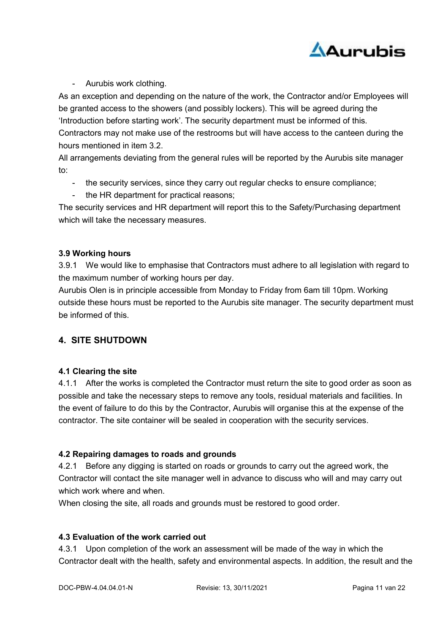

- Aurubis work clothing.

As an exception and depending on the nature of the work, the Contractor and/or Employees will be granted access to the showers (and possibly lockers). This will be agreed during the 'Introduction before starting work'. The security department must be informed of this. Contractors may not make use of the restrooms but will have access to the canteen during the hours mentioned in item 3.2.

All arrangements deviating from the general rules will be reported by the Aurubis site manager to:

- the security services, since they carry out regular checks to ensure compliance;
- the HR department for practical reasons;

The security services and HR department will report this to the Safety/Purchasing department which will take the necessary measures.

# 3.9 Working hours

3.9.1 We would like to emphasise that Contractors must adhere to all legislation with regard to the maximum number of working hours per day.

Aurubis Olen is in principle accessible from Monday to Friday from 6am till 10pm. Working outside these hours must be reported to the Aurubis site manager. The security department must be informed of this.

# 4. SITE SHUTDOWN

# 4.1 Clearing the site

4.1.1 After the works is completed the Contractor must return the site to good order as soon as possible and take the necessary steps to remove any tools, residual materials and facilities. In the event of failure to do this by the Contractor, Aurubis will organise this at the expense of the contractor. The site container will be sealed in cooperation with the security services.

# 4.2 Repairing damages to roads and grounds

4.2.1 Before any digging is started on roads or grounds to carry out the agreed work, the Contractor will contact the site manager well in advance to discuss who will and may carry out which work where and when.

When closing the site, all roads and grounds must be restored to good order.

# 4.3 Evaluation of the work carried out

4.3.1 Upon completion of the work an assessment will be made of the way in which the Contractor dealt with the health, safety and environmental aspects. In addition, the result and the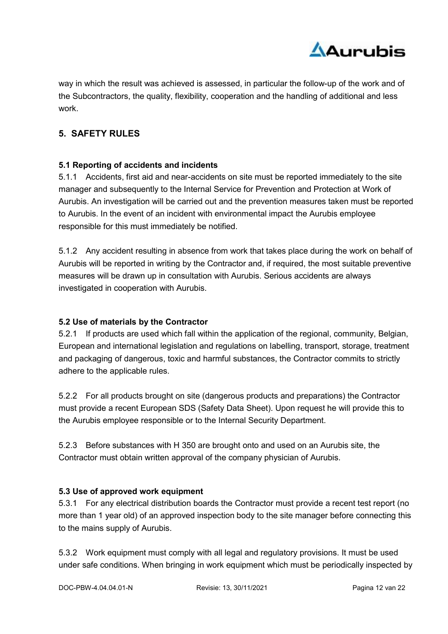

way in which the result was achieved is assessed, in particular the follow-up of the work and of the Subcontractors, the quality, flexibility, cooperation and the handling of additional and less work.

# 5. SAFETY RULES

# 5.1 Reporting of accidents and incidents

5.1.1 Accidents, first aid and near-accidents on site must be reported immediately to the site manager and subsequently to the Internal Service for Prevention and Protection at Work of Aurubis. An investigation will be carried out and the prevention measures taken must be reported to Aurubis. In the event of an incident with environmental impact the Aurubis employee responsible for this must immediately be notified.

5.1.2 Any accident resulting in absence from work that takes place during the work on behalf of Aurubis will be reported in writing by the Contractor and, if required, the most suitable preventive measures will be drawn up in consultation with Aurubis. Serious accidents are always investigated in cooperation with Aurubis.

# 5.2 Use of materials by the Contractor

5.2.1 If products are used which fall within the application of the regional, community, Belgian, European and international legislation and regulations on labelling, transport, storage, treatment and packaging of dangerous, toxic and harmful substances, the Contractor commits to strictly adhere to the applicable rules.

5.2.2 For all products brought on site (dangerous products and preparations) the Contractor must provide a recent European SDS (Safety Data Sheet). Upon request he will provide this to the Aurubis employee responsible or to the Internal Security Department.

5.2.3 Before substances with H 350 are brought onto and used on an Aurubis site, the Contractor must obtain written approval of the company physician of Aurubis.

# 5.3 Use of approved work equipment

5.3.1 For any electrical distribution boards the Contractor must provide a recent test report (no more than 1 year old) of an approved inspection body to the site manager before connecting this to the mains supply of Aurubis.

5.3.2 Work equipment must comply with all legal and regulatory provisions. It must be used under safe conditions. When bringing in work equipment which must be periodically inspected by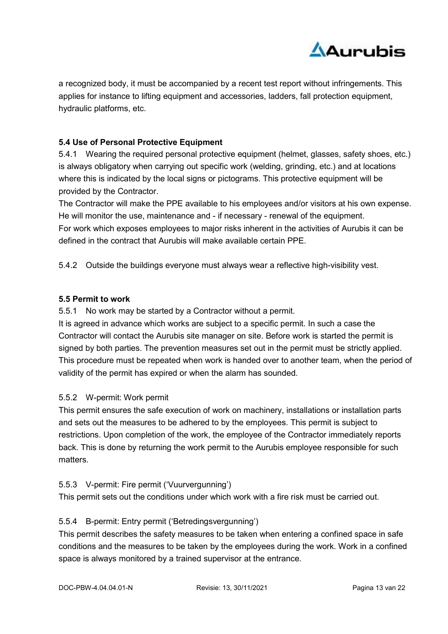

a recognized body, it must be accompanied by a recent test report without infringements. This applies for instance to lifting equipment and accessories, ladders, fall protection equipment, hydraulic platforms, etc.

# 5.4 Use of Personal Protective Equipment

5.4.1 Wearing the required personal protective equipment (helmet, glasses, safety shoes, etc.) is always obligatory when carrying out specific work (welding, grinding, etc.) and at locations where this is indicated by the local signs or pictograms. This protective equipment will be provided by the Contractor.

The Contractor will make the PPE available to his employees and/or visitors at his own expense. He will monitor the use, maintenance and - if necessary - renewal of the equipment. For work which exposes employees to major risks inherent in the activities of Aurubis it can be defined in the contract that Aurubis will make available certain PPE.

5.4.2 Outside the buildings everyone must always wear a reflective high-visibility vest.

#### 5.5 Permit to work

5.5.1 No work may be started by a Contractor without a permit.

It is agreed in advance which works are subject to a specific permit. In such a case the Contractor will contact the Aurubis site manager on site. Before work is started the permit is signed by both parties. The prevention measures set out in the permit must be strictly applied. This procedure must be repeated when work is handed over to another team, when the period of validity of the permit has expired or when the alarm has sounded.

# 5.5.2 W-permit: Work permit

This permit ensures the safe execution of work on machinery, installations or installation parts and sets out the measures to be adhered to by the employees. This permit is subject to restrictions. Upon completion of the work, the employee of the Contractor immediately reports back. This is done by returning the work permit to the Aurubis employee responsible for such matters.

# 5.5.3 V-permit: Fire permit ('Vuurvergunning')

This permit sets out the conditions under which work with a fire risk must be carried out.

# 5.5.4 B-permit: Entry permit ('Betredingsvergunning')

This permit describes the safety measures to be taken when entering a confined space in safe conditions and the measures to be taken by the employees during the work. Work in a confined space is always monitored by a trained supervisor at the entrance.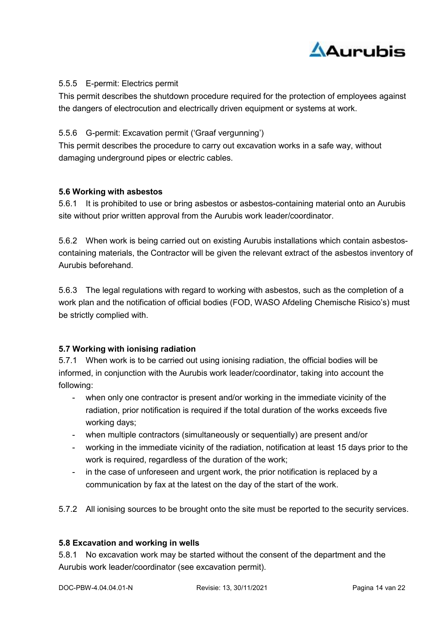

# 5.5.5 E-permit: Electrics permit

This permit describes the shutdown procedure required for the protection of employees against the dangers of electrocution and electrically driven equipment or systems at work.

# 5.5.6 G-permit: Excavation permit ('Graaf vergunning')

This permit describes the procedure to carry out excavation works in a safe way, without damaging underground pipes or electric cables.

# 5.6 Working with asbestos

5.6.1 It is prohibited to use or bring asbestos or asbestos-containing material onto an Aurubis site without prior written approval from the Aurubis work leader/coordinator.

5.6.2 When work is being carried out on existing Aurubis installations which contain asbestoscontaining materials, the Contractor will be given the relevant extract of the asbestos inventory of Aurubis beforehand.

5.6.3 The legal regulations with regard to working with asbestos, such as the completion of a work plan and the notification of official bodies (FOD, WASO Afdeling Chemische Risico's) must be strictly complied with.

# 5.7 Working with ionising radiation

5.7.1 When work is to be carried out using ionising radiation, the official bodies will be informed, in conjunction with the Aurubis work leader/coordinator, taking into account the following:

- when only one contractor is present and/or working in the immediate vicinity of the radiation, prior notification is required if the total duration of the works exceeds five working days;
- when multiple contractors (simultaneously or sequentially) are present and/or
- working in the immediate vicinity of the radiation, notification at least 15 days prior to the work is required, regardless of the duration of the work:
- in the case of unforeseen and urgent work, the prior notification is replaced by a communication by fax at the latest on the day of the start of the work.
- 5.7.2 All ionising sources to be brought onto the site must be reported to the security services.

# 5.8 Excavation and working in wells

5.8.1 No excavation work may be started without the consent of the department and the Aurubis work leader/coordinator (see excavation permit).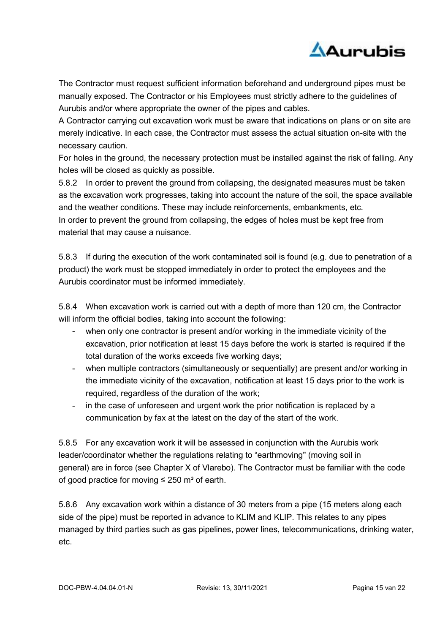

The Contractor must request sufficient information beforehand and underground pipes must be manually exposed. The Contractor or his Employees must strictly adhere to the guidelines of Aurubis and/or where appropriate the owner of the pipes and cables.

A Contractor carrying out excavation work must be aware that indications on plans or on site are merely indicative. In each case, the Contractor must assess the actual situation on-site with the necessary caution.

For holes in the ground, the necessary protection must be installed against the risk of falling. Any holes will be closed as quickly as possible.

5.8.2 In order to prevent the ground from collapsing, the designated measures must be taken as the excavation work progresses, taking into account the nature of the soil, the space available and the weather conditions. These may include reinforcements, embankments, etc. In order to prevent the ground from collapsing, the edges of holes must be kept free from material that may cause a nuisance.

5.8.3 If during the execution of the work contaminated soil is found (e.g. due to penetration of a product) the work must be stopped immediately in order to protect the employees and the Aurubis coordinator must be informed immediately.

5.8.4 When excavation work is carried out with a depth of more than 120 cm, the Contractor will inform the official bodies, taking into account the following:

- when only one contractor is present and/or working in the immediate vicinity of the excavation, prior notification at least 15 days before the work is started is required if the total duration of the works exceeds five working days;
- when multiple contractors (simultaneously or sequentially) are present and/or working in the immediate vicinity of the excavation, notification at least 15 days prior to the work is required, regardless of the duration of the work;
- in the case of unforeseen and urgent work the prior notification is replaced by a communication by fax at the latest on the day of the start of the work.

5.8.5 For any excavation work it will be assessed in conjunction with the Aurubis work leader/coordinator whether the regulations relating to "earthmoving" (moving soil in general) are in force (see Chapter X of Vlarebo). The Contractor must be familiar with the code of good practice for moving  $\leq$  250 m<sup>3</sup> of earth.

5.8.6 Any excavation work within a distance of 30 meters from a pipe (15 meters along each side of the pipe) must be reported in advance to KLIM and KLIP. This relates to any pipes managed by third parties such as gas pipelines, power lines, telecommunications, drinking water, etc.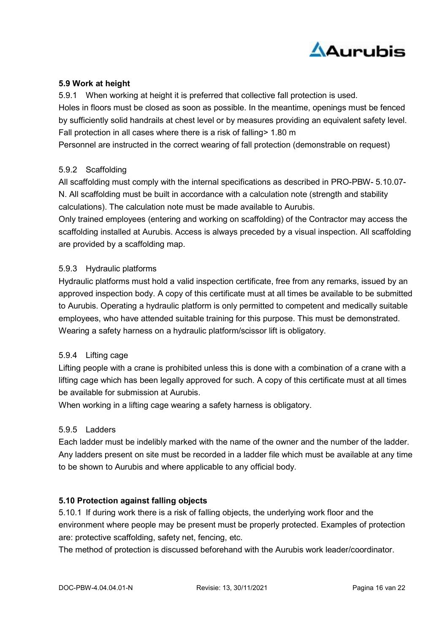

# 5.9 Work at height

5.9.1 When working at height it is preferred that collective fall protection is used. Holes in floors must be closed as soon as possible. In the meantime, openings must be fenced by sufficiently solid handrails at chest level or by measures providing an equivalent safety level.

Fall protection in all cases where there is a risk of falling> 1.80 m

Personnel are instructed in the correct wearing of fall protection (demonstrable on request)

#### 5.9.2 Scaffolding

All scaffolding must comply with the internal specifications as described in PRO-PBW- 5.10.07- N. All scaffolding must be built in accordance with a calculation note (strength and stability calculations). The calculation note must be made available to Aurubis.

Only trained employees (entering and working on scaffolding) of the Contractor may access the scaffolding installed at Aurubis. Access is always preceded by a visual inspection. All scaffolding are provided by a scaffolding map.

#### 5.9.3 Hydraulic platforms

Hydraulic platforms must hold a valid inspection certificate, free from any remarks, issued by an approved inspection body. A copy of this certificate must at all times be available to be submitted to Aurubis. Operating a hydraulic platform is only permitted to competent and medically suitable employees, who have attended suitable training for this purpose. This must be demonstrated. Wearing a safety harness on a hydraulic platform/scissor lift is obligatory.

#### 5.9.4 Lifting cage

Lifting people with a crane is prohibited unless this is done with a combination of a crane with a lifting cage which has been legally approved for such. A copy of this certificate must at all times be available for submission at Aurubis.

When working in a lifting cage wearing a safety harness is obligatory.

#### 5.9.5 Ladders

Each ladder must be indelibly marked with the name of the owner and the number of the ladder. Any ladders present on site must be recorded in a ladder file which must be available at any time to be shown to Aurubis and where applicable to any official body.

# 5.10 Protection against falling objects

5.10.1 If during work there is a risk of falling objects, the underlying work floor and the environment where people may be present must be properly protected. Examples of protection are: protective scaffolding, safety net, fencing, etc.

The method of protection is discussed beforehand with the Aurubis work leader/coordinator.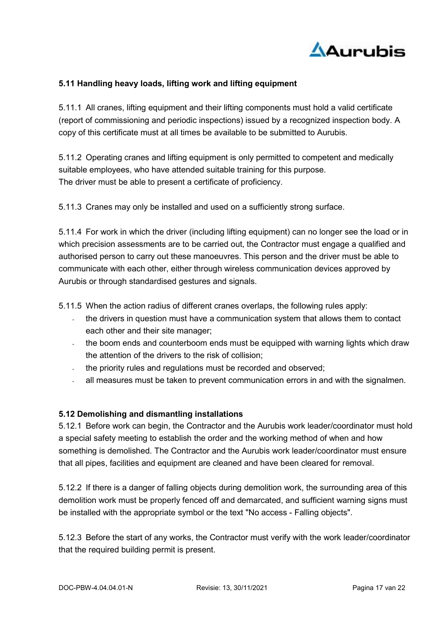

# 5.11 Handling heavy loads, lifting work and lifting equipment

5.11.1 All cranes, lifting equipment and their lifting components must hold a valid certificate (report of commissioning and periodic inspections) issued by a recognized inspection body. A copy of this certificate must at all times be available to be submitted to Aurubis.

5.11.2 Operating cranes and lifting equipment is only permitted to competent and medically suitable employees, who have attended suitable training for this purpose. The driver must be able to present a certificate of proficiency.

5.11.3 Cranes may only be installed and used on a sufficiently strong surface.

5.11.4 For work in which the driver (including lifting equipment) can no longer see the load or in which precision assessments are to be carried out, the Contractor must engage a qualified and authorised person to carry out these manoeuvres. This person and the driver must be able to communicate with each other, either through wireless communication devices approved by Aurubis or through standardised gestures and signals.

5.11.5 When the action radius of different cranes overlaps, the following rules apply:

- the drivers in question must have a communication system that allows them to contact each other and their site manager;
- the boom ends and counterboom ends must be equipped with warning lights which draw the attention of the drivers to the risk of collision;
- the priority rules and regulations must be recorded and observed;
- all measures must be taken to prevent communication errors in and with the signalmen.

#### 5.12 Demolishing and dismantling installations

5.12.1 Before work can begin, the Contractor and the Aurubis work leader/coordinator must hold a special safety meeting to establish the order and the working method of when and how something is demolished. The Contractor and the Aurubis work leader/coordinator must ensure that all pipes, facilities and equipment are cleaned and have been cleared for removal.

5.12.2 If there is a danger of falling objects during demolition work, the surrounding area of this demolition work must be properly fenced off and demarcated, and sufficient warning signs must be installed with the appropriate symbol or the text "No access - Falling objects".

5.12.3 Before the start of any works, the Contractor must verify with the work leader/coordinator that the required building permit is present.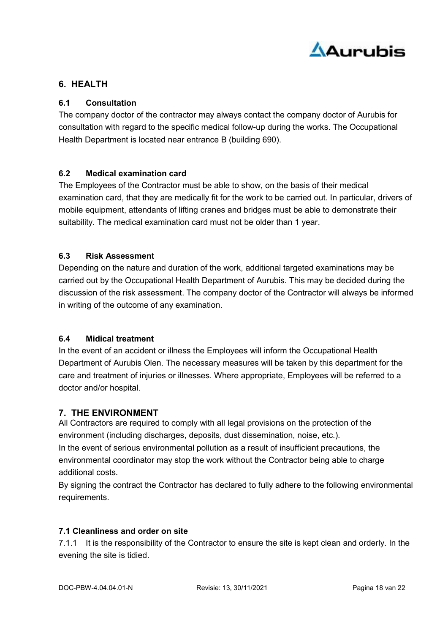

# 6. HEALTH

# 6.1 Consultation

The company doctor of the contractor may always contact the company doctor of Aurubis for consultation with regard to the specific medical follow-up during the works. The Occupational Health Department is located near entrance B (building 690).

# 6.2 Medical examination card

The Employees of the Contractor must be able to show, on the basis of their medical examination card, that they are medically fit for the work to be carried out. In particular, drivers of mobile equipment, attendants of lifting cranes and bridges must be able to demonstrate their suitability. The medical examination card must not be older than 1 year.

# 6.3 Risk Assessment

Depending on the nature and duration of the work, additional targeted examinations may be carried out by the Occupational Health Department of Aurubis. This may be decided during the discussion of the risk assessment. The company doctor of the Contractor will always be informed in writing of the outcome of any examination.

# 6.4 Midical treatment

In the event of an accident or illness the Employees will inform the Occupational Health Department of Aurubis Olen. The necessary measures will be taken by this department for the care and treatment of injuries or illnesses. Where appropriate, Employees will be referred to a doctor and/or hospital.

# 7. THE ENVIRONMENT

All Contractors are required to comply with all legal provisions on the protection of the environment (including discharges, deposits, dust dissemination, noise, etc.). In the event of serious environmental pollution as a result of insufficient precautions, the environmental coordinator may stop the work without the Contractor being able to charge additional costs.

By signing the contract the Contractor has declared to fully adhere to the following environmental requirements.

# 7.1 Cleanliness and order on site

7.1.1 It is the responsibility of the Contractor to ensure the site is kept clean and orderly. In the evening the site is tidied.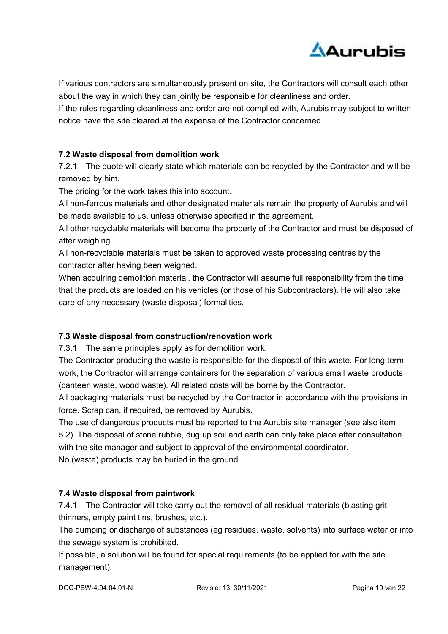

If various contractors are simultaneously present on site, the Contractors will consult each other about the way in which they can jointly be responsible for cleanliness and order.

If the rules regarding cleanliness and order are not complied with, Aurubis may subject to written notice have the site cleared at the expense of the Contractor concerned.

# 7.2 Waste disposal from demolition work

7.2.1 The quote will clearly state which materials can be recycled by the Contractor and will be removed by him.

The pricing for the work takes this into account.

All non-ferrous materials and other designated materials remain the property of Aurubis and will be made available to us, unless otherwise specified in the agreement.

All other recyclable materials will become the property of the Contractor and must be disposed of after weighing.

All non-recyclable materials must be taken to approved waste processing centres by the contractor after having been weighed.

When acquiring demolition material, the Contractor will assume full responsibility from the time that the products are loaded on his vehicles (or those of his Subcontractors). He will also take care of any necessary (waste disposal) formalities.

# 7.3 Waste disposal from construction/renovation work

7.3.1 The same principles apply as for demolition work.

The Contractor producing the waste is responsible for the disposal of this waste. For long term work, the Contractor will arrange containers for the separation of various small waste products (canteen waste, wood waste). All related costs will be borne by the Contractor.

All packaging materials must be recycled by the Contractor in accordance with the provisions in force. Scrap can, if required, be removed by Aurubis.

The use of dangerous products must be reported to the Aurubis site manager (see also item 5.2). The disposal of stone rubble, dug up soil and earth can only take place after consultation with the site manager and subject to approval of the environmental coordinator. No (waste) products may be buried in the ground.

# 7.4 Waste disposal from paintwork

7.4.1 The Contractor will take carry out the removal of all residual materials (blasting grit, thinners, empty paint tins, brushes, etc.).

The dumping or discharge of substances (eg residues, waste, solvents) into surface water or into the sewage system is prohibited.

If possible, a solution will be found for special requirements (to be applied for with the site management).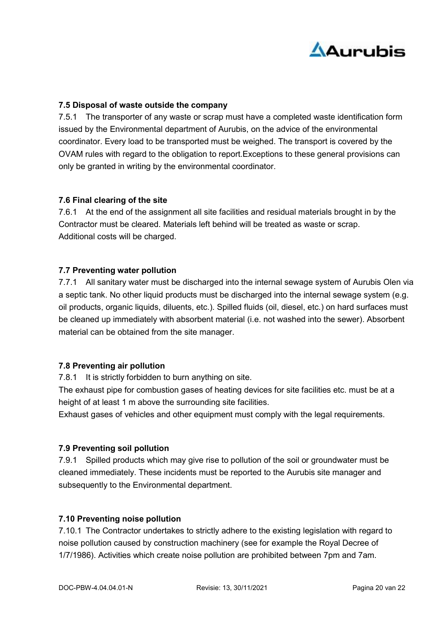

# 7.5 Disposal of waste outside the company

7.5.1 The transporter of any waste or scrap must have a completed waste identification form issued by the Environmental department of Aurubis, on the advice of the environmental coordinator. Every load to be transported must be weighed. The transport is covered by the OVAM rules with regard to the obligation to report.Exceptions to these general provisions can only be granted in writing by the environmental coordinator.

#### 7.6 Final clearing of the site

7.6.1 At the end of the assignment all site facilities and residual materials brought in by the Contractor must be cleared. Materials left behind will be treated as waste or scrap. Additional costs will be charged.

# 7.7 Preventing water pollution

7.7.1 All sanitary water must be discharged into the internal sewage system of Aurubis Olen via a septic tank. No other liquid products must be discharged into the internal sewage system (e.g. oil products, organic liquids, diluents, etc.). Spilled fluids (oil, diesel, etc.) on hard surfaces must be cleaned up immediately with absorbent material (i.e. not washed into the sewer). Absorbent material can be obtained from the site manager.

# 7.8 Preventing air pollution

7.8.1 It is strictly forbidden to burn anything on site.

The exhaust pipe for combustion gases of heating devices for site facilities etc. must be at a height of at least 1 m above the surrounding site facilities.

Exhaust gases of vehicles and other equipment must comply with the legal requirements.

#### 7.9 Preventing soil pollution

7.9.1 Spilled products which may give rise to pollution of the soil or groundwater must be cleaned immediately. These incidents must be reported to the Aurubis site manager and subsequently to the Environmental department.

#### 7.10 Preventing noise pollution

7.10.1 The Contractor undertakes to strictly adhere to the existing legislation with regard to noise pollution caused by construction machinery (see for example the Royal Decree of 1/7/1986). Activities which create noise pollution are prohibited between 7pm and 7am.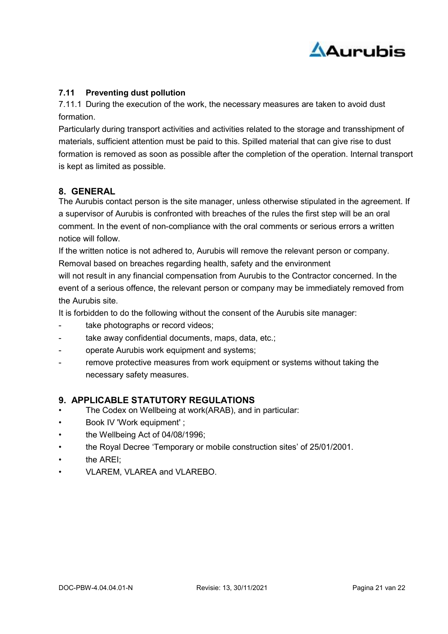

# 7.11 Preventing dust pollution

7.11.1 During the execution of the work, the necessary measures are taken to avoid dust formation.

Particularly during transport activities and activities related to the storage and transshipment of materials, sufficient attention must be paid to this. Spilled material that can give rise to dust formation is removed as soon as possible after the completion of the operation. Internal transport is kept as limited as possible.

# 8. GENERAL

The Aurubis contact person is the site manager, unless otherwise stipulated in the agreement. If a supervisor of Aurubis is confronted with breaches of the rules the first step will be an oral comment. In the event of non-compliance with the oral comments or serious errors a written notice will follow.

If the written notice is not adhered to, Aurubis will remove the relevant person or company. Removal based on breaches regarding health, safety and the environment

will not result in any financial compensation from Aurubis to the Contractor concerned. In the event of a serious offence, the relevant person or company may be immediately removed from the Aurubis site.

It is forbidden to do the following without the consent of the Aurubis site manager:

- take photographs or record videos;
- take away confidential documents, maps, data, etc.;
- operate Aurubis work equipment and systems;
- remove protective measures from work equipment or systems without taking the necessary safety measures.

# 9. APPLICABLE STATUTORY REGULATIONS

- The Codex on Wellbeing at work(ARAB), and in particular:
- Book IV 'Work equipment' ;
- the Wellbeing Act of 04/08/1996;
- the Royal Decree 'Temporary or mobile construction sites' of 25/01/2001.
- the ARFI<sup>.</sup>
- VLAREM, VLAREA and VLAREBO.